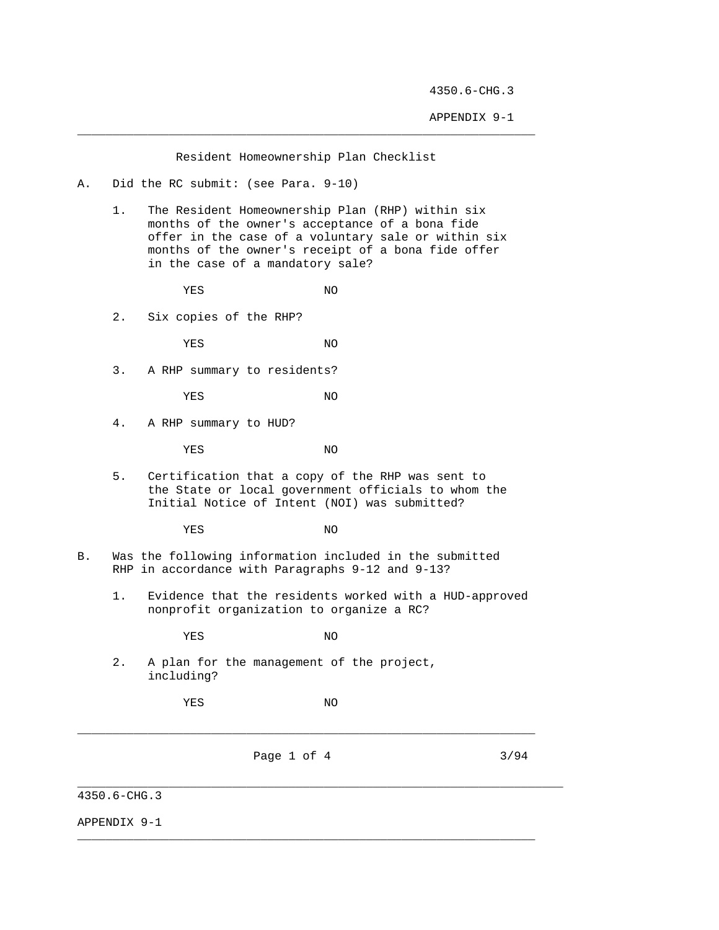APPENDIX 9-1

Resident Homeownership Plan Checklist

\_\_\_\_\_\_\_\_\_\_\_\_\_\_\_\_\_\_\_\_\_\_\_\_\_\_\_\_\_\_\_\_\_\_\_\_\_\_\_\_\_\_\_\_\_\_\_\_\_\_\_\_\_\_\_\_\_\_\_\_\_\_\_\_\_

- A. Did the RC submit: (see Para. 9-10)
	- 1. The Resident Homeownership Plan (RHP) within six months of the owner's acceptance of a bona fide offer in the case of a voluntary sale or within six months of the owner's receipt of a bona fide offer in the case of a mandatory sale?

YES NO

2. Six copies of the RHP?

YES NO

3. A RHP summary to residents?

YES NO

4. A RHP summary to HUD?

YES NO

 5. Certification that a copy of the RHP was sent to the State or local government officials to whom the Initial Notice of Intent (NOI) was submitted?

YES NO

- B. Was the following information included in the submitted RHP in accordance with Paragraphs 9-12 and 9-13?
	- 1. Evidence that the residents worked with a HUD-approved nonprofit organization to organize a RC?

YES NO

 2. A plan for the management of the project, including?

YES NO

\_\_\_\_\_\_\_\_\_\_\_\_\_\_\_\_\_\_\_\_\_\_\_\_\_\_\_\_\_\_\_\_\_\_\_\_\_\_\_\_\_\_\_\_\_\_\_\_\_\_\_\_\_\_\_\_\_\_\_\_\_\_\_\_\_

\_\_\_\_\_\_\_\_\_\_\_\_\_\_\_\_\_\_\_\_\_\_\_\_\_\_\_\_\_\_\_\_\_\_\_\_\_\_\_\_\_\_\_\_\_\_\_\_\_\_\_\_\_\_\_\_\_\_\_\_\_\_\_\_\_

\_\_\_\_\_\_\_\_\_\_\_\_\_\_\_\_\_\_\_\_\_\_\_\_\_\_\_\_\_\_\_\_\_\_\_\_\_\_\_\_\_\_\_\_\_\_\_\_\_\_\_\_\_\_\_\_\_\_\_\_\_\_\_\_\_\_\_\_\_

Page 1 of 4 3/94

4350.6-CHG.3

APPENDIX 9-1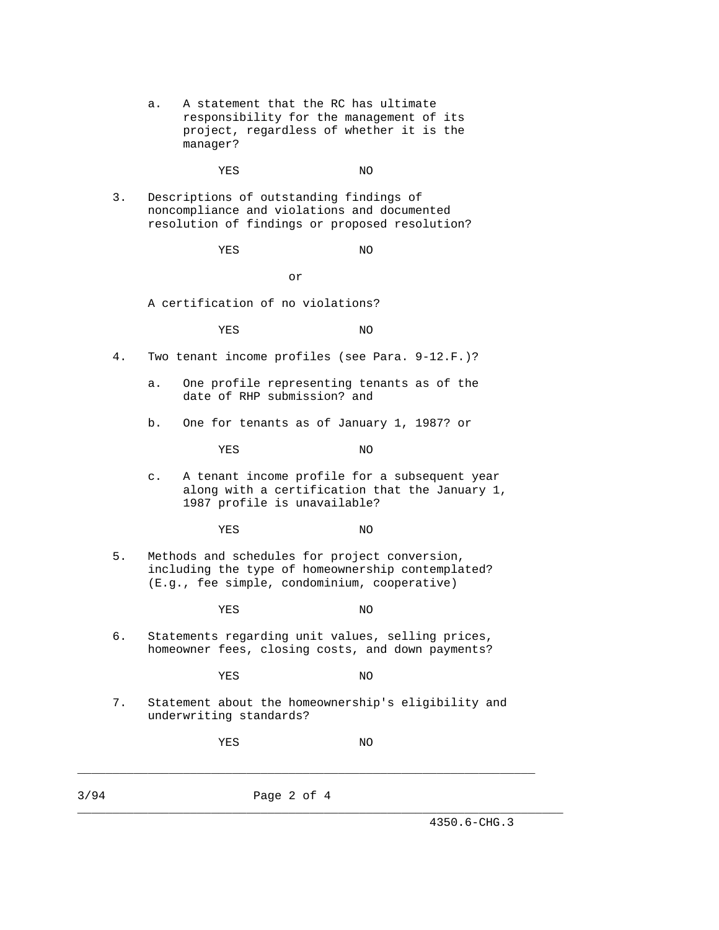a. A statement that the RC has ultimate responsibility for the management of its project, regardless of whether it is the manager?

YES NO

 3. Descriptions of outstanding findings of noncompliance and violations and documented resolution of findings or proposed resolution?

YES NO

or

A certification of no violations?

YES NO

- 4. Two tenant income profiles (see Para. 9-12.F.)?
	- a. One profile representing tenants as of the date of RHP submission? and
	- b. One for tenants as of January 1, 1987? or

YES NO

 c. A tenant income profile for a subsequent year along with a certification that the January 1, 1987 profile is unavailable?

YES NO

 5. Methods and schedules for project conversion, including the type of homeownership contemplated? (E.g., fee simple, condominium, cooperative)

YES NO

 6. Statements regarding unit values, selling prices, homeowner fees, closing costs, and down payments?

YES NO

- 
- 7. Statement about the homeownership's eligibility and underwriting standards?

\_\_\_\_\_\_\_\_\_\_\_\_\_\_\_\_\_\_\_\_\_\_\_\_\_\_\_\_\_\_\_\_\_\_\_\_\_\_\_\_\_\_\_\_\_\_\_\_\_\_\_\_\_\_\_\_\_\_\_\_\_\_\_\_\_

\_\_\_\_\_\_\_\_\_\_\_\_\_\_\_\_\_\_\_\_\_\_\_\_\_\_\_\_\_\_\_\_\_\_\_\_\_\_\_\_\_\_\_\_\_\_\_\_\_\_\_\_\_\_\_\_\_\_\_\_\_\_\_\_\_\_\_\_\_

YES NO

3/94 Page 2 of 4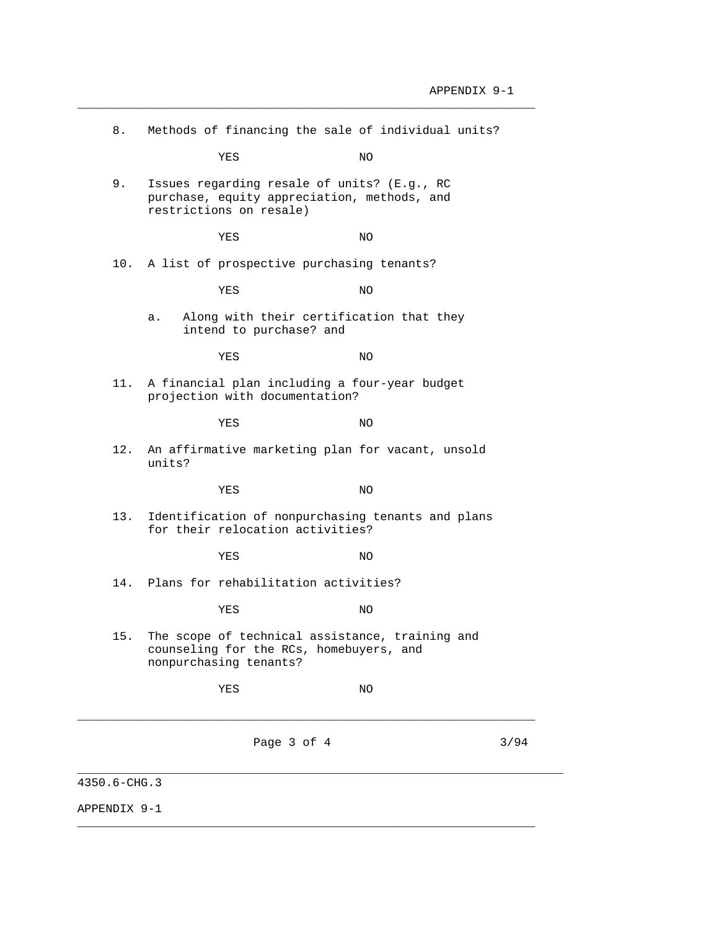| 8.  |                                      | Methods of financing the sale of individual units?                                         |      |
|-----|--------------------------------------|--------------------------------------------------------------------------------------------|------|
|     | YES                                  | NO.                                                                                        |      |
| 9.  | restrictions on resale)              | Issues regarding resale of units? (E.g., RC<br>purchase, equity appreciation, methods, and |      |
|     | YES                                  | ΝO                                                                                         |      |
| 10. |                                      | A list of prospective purchasing tenants?                                                  |      |
|     | YES                                  | ΝO                                                                                         |      |
|     | а.<br>intend to purchase? and        | Along with their certification that they                                                   |      |
|     | YES                                  | ΝO                                                                                         |      |
| 11. | projection with documentation?       | A financial plan including a four-year budget                                              |      |
|     | YES                                  | NO.                                                                                        |      |
| 12. | units?                               | An affirmative marketing plan for vacant, unsold                                           |      |
|     | YES                                  | ΝO                                                                                         |      |
| 13. | for their relocation activities?     | Identification of nonpurchasing tenants and plans                                          |      |
|     | YES                                  | NO.                                                                                        |      |
| 14. | Plans for rehabilitation activities? |                                                                                            |      |
|     | YES                                  | ΝO                                                                                         |      |
| 15. | nonpurchasing tenants?               | The scope of technical assistance, training and<br>counseling for the RCs, homebuyers, and |      |
|     | YES                                  | ΝO                                                                                         |      |
|     |                                      | Page 3 of 4                                                                                | 3/94 |

\_\_\_\_\_\_\_\_\_\_\_\_\_\_\_\_\_\_\_\_\_\_\_\_\_\_\_\_\_\_\_\_\_\_\_\_\_\_\_\_\_\_\_\_\_\_\_\_\_\_\_\_\_\_\_\_\_\_\_\_\_\_\_\_\_

\_\_\_\_\_\_\_\_\_\_\_\_\_\_\_\_\_\_\_\_\_\_\_\_\_\_\_\_\_\_\_\_\_\_\_\_\_\_\_\_\_\_\_\_\_\_\_\_\_\_\_\_\_\_\_\_\_\_\_\_\_\_\_\_\_

4350.6-CHG.3

APPENDIX 9-1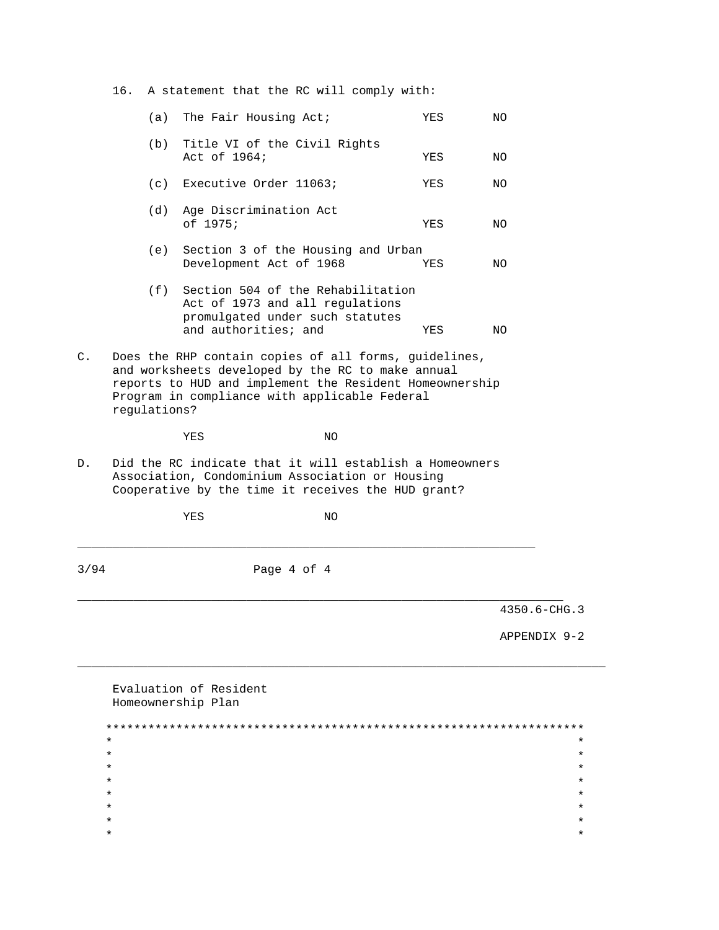16. A statement that the RC will comply with:

|                |                                                                                                                                                                                                                                        | $(a)$ The Fair Housing Act;                                                                                                         | YES | NO. |  |
|----------------|----------------------------------------------------------------------------------------------------------------------------------------------------------------------------------------------------------------------------------------|-------------------------------------------------------------------------------------------------------------------------------------|-----|-----|--|
|                |                                                                                                                                                                                                                                        | (b) Title VI of the Civil Rights<br>Act of 1964;                                                                                    | YES | NO. |  |
|                |                                                                                                                                                                                                                                        | (c) Executive Order 11063;                                                                                                          | YES | NO. |  |
|                | (d)                                                                                                                                                                                                                                    | Age Discrimination Act<br>of 1975;                                                                                                  | YES | NO. |  |
|                | (e)                                                                                                                                                                                                                                    | Section 3 of the Housing and Urban<br>Development Act of 1968                                                                       | YES | NO. |  |
|                |                                                                                                                                                                                                                                        | (f) Section 504 of the Rehabilitation<br>Act of 1973 and all regulations<br>promulgated under such statutes<br>and authorities; and | YES | NO. |  |
| $\mathsf{C}$ . | Does the RHP contain copies of all forms, guidelines,<br>and worksheets developed by the RC to make annual<br>reports to HUD and implement the Resident Homeownership<br>Program in compliance with applicable Federal<br>requlations? |                                                                                                                                     |     |     |  |

YES NO

 $D.$ Did the RC indicate that it will establish a Homeowners Association, Condominium Association or Housing Cooperative by the time it receives the HUD grant?

 $\rm NO$ 

YES

 $3/94$ Page 4 of 4

 $4350.6 - CHG.3$ 

APPENDIX 9-2

| Evaluation of Resident<br>Homeownership Plan |         |
|----------------------------------------------|---------|
|                                              |         |
| $\star$                                      | $\star$ |
| $\ast$                                       | $\star$ |
| $\star$                                      | $\star$ |
| $\ast$                                       | $\star$ |
| $\star$                                      | $\star$ |
| $\star$                                      | $\star$ |
| $\star$                                      | $\star$ |
| *                                            | $\star$ |
|                                              |         |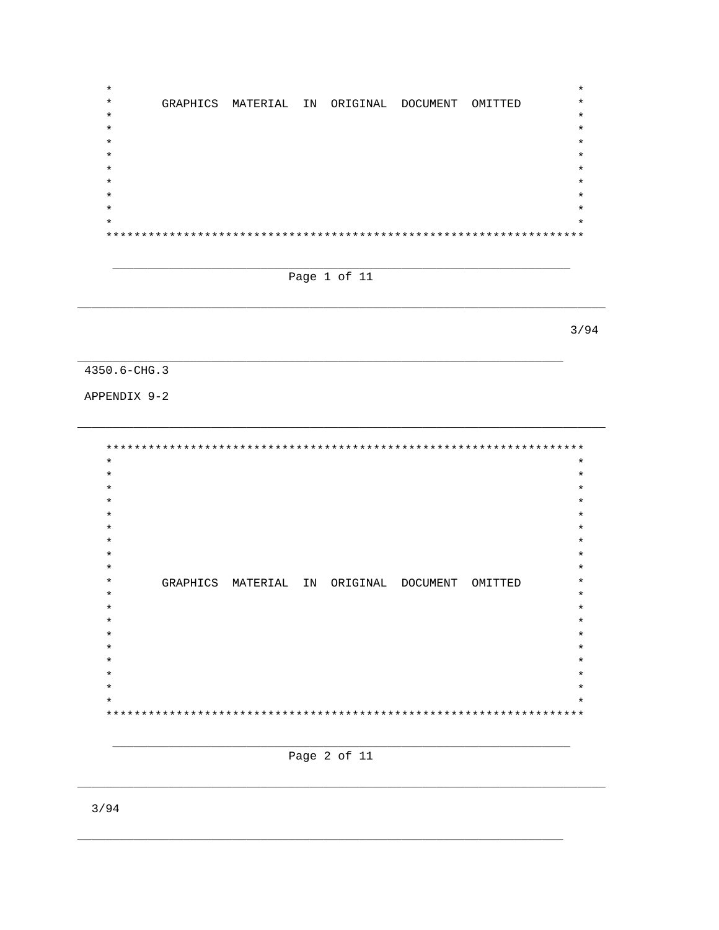$\star$  $\star$  $\star$ GRAPHICS MATERIAL IN ORIGINAL DOCUMENT OMITTED  $\star$  $\star$  $\star$  $\star$  $\star$  $\star$  $\star$ 

Page 1 of 11

 $3/94$ 

4350.6-CHG.3

APPENDIX 9-2

 $\star$  $\star$  $\star$  $\star$  $\star$  $\star$  $\star$  $\star$  $\star$  $\star$ GRAPHICS MATERIAL IN ORIGINAL DOCUMENT OMITTED  $\star$  $\star$  $\star$  $\star$  $\star$  $\star$  $\star$ 



 $3/94$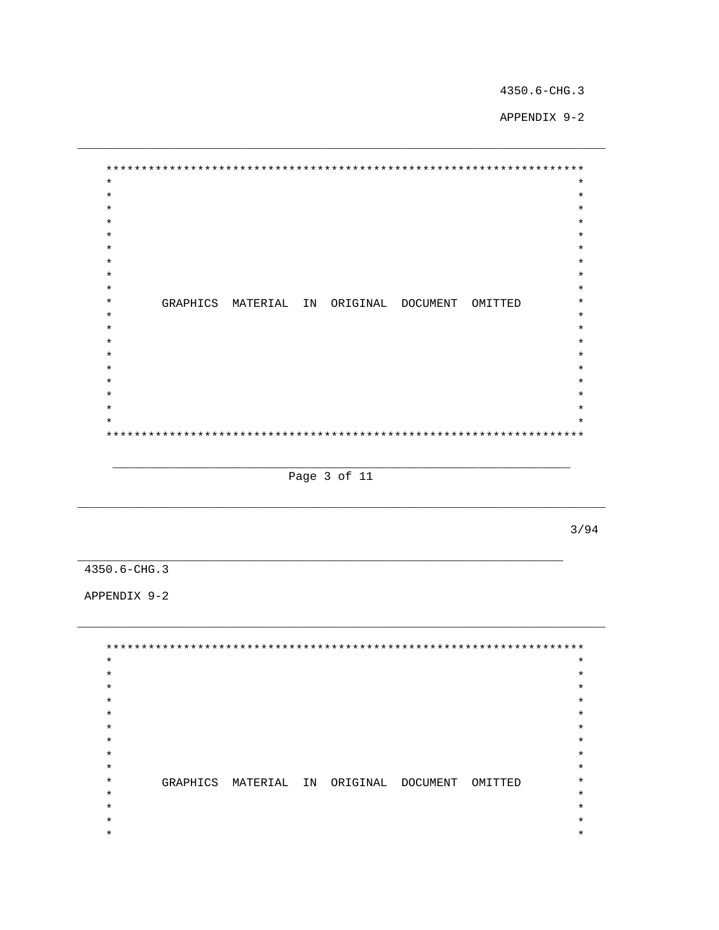APPENDIX 9-2

 $\star$  $\star$  $\star$  $\star$  $\star$  $\star$  $\star$  $\star$  $\star$  $\star$  $\star$  $\star$  $\star$  $\star$  $\star$ GRAPHICS MATERIAL IN ORIGINAL DOCUMENT OMITTED  $\star$  $\star$  $\star$  $\star$  $\star$  $\star$  $\ddot{\textbf{r}}$  $\ast$  $\star$  $\star$  $\star$ 

Page 3 of 11

 $3/94$ 

4350.6-CHG.3

APPENDIX 9-2

 $\star$  $\star$  $\star$  $\star$  $\star$  $\star$  $\star$  $\star$  $\star$  $\star$  $\star$  $\star$  $\star$  $\star$  $\star$  $\star$  $\star$  $\star$ GRAPHICS MATERIAL IN ORIGINAL DOCUMENT OMITTED  $\star$  $\star$  $\star$  $\star$  $\star$  $\star$  $\star$  $\star$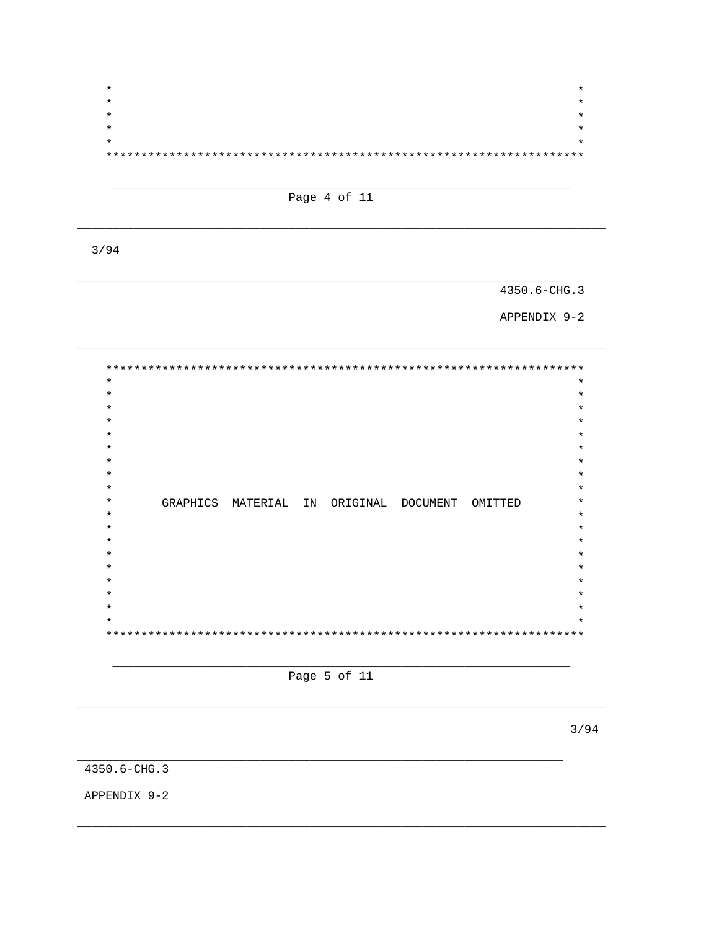$\star$  $\star$  $\star$  $\star$  $\star$  $\star$  $***$  \*

Page 4 of 11

 $3/94$ 

4350.6-CHG.3

APPENDIX 9-2

 $\ast$  $\star$  $\star$  $\star$  $\star$  $\star$  $\star$  $\star$  $\star$  $\star$  $\star$  $\star$  $\star$ GRAPHICS MATERIAL IN ORIGINAL DOCUMENT OMITTED  $\star$  $\star$  $\star$  $\star$  $\star$  $\star$  $\star$  $\star$ 

Page 5 of 11

 $3/94$ 

4350.6-CHG.3

APPENDIX 9-2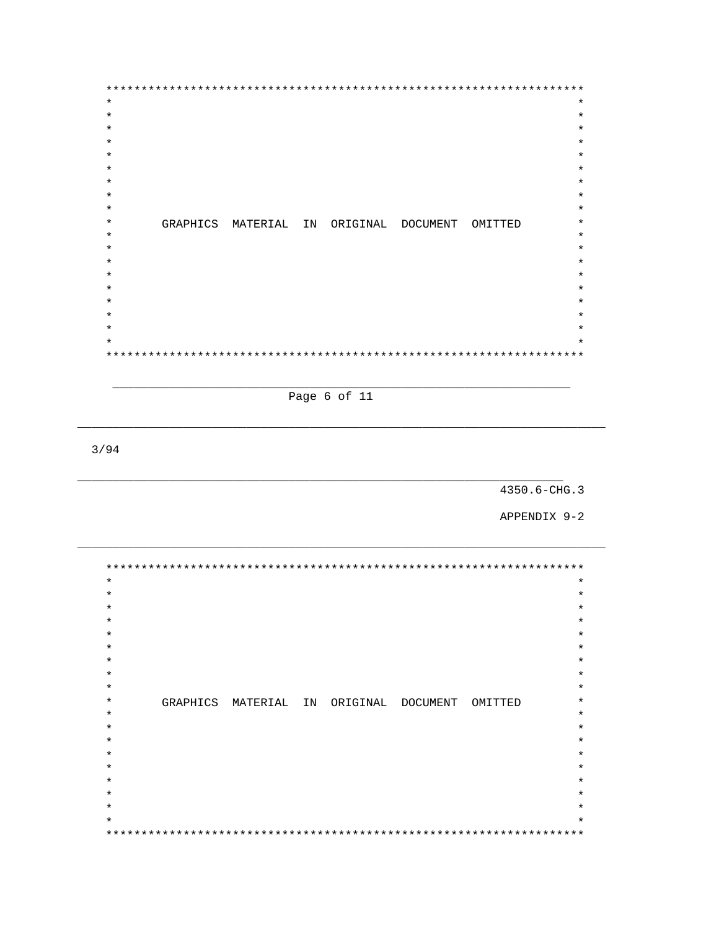$\star$  $\star$  $\star$  $\star$  $\star$  $\star$ GRAPHICS MATERIAL IN ORIGINAL DOCUMENT OMITTED  $\star$  $\star$  $\star$  $\star$  $\star$  $\star$ 

Page 6 of 11

 $3/94$ 

4350.6-CHG.3

APPENDIX 9-2

 $\star$  $\star$  $\star$  $\star$  $\star$  $\star$  $\star$  $\star$  $\star$ GRAPHICS MATERIAL IN ORIGINAL DOCUMENT OMITTED  $\star$  $\star$  $\star$  $\star$  $\star$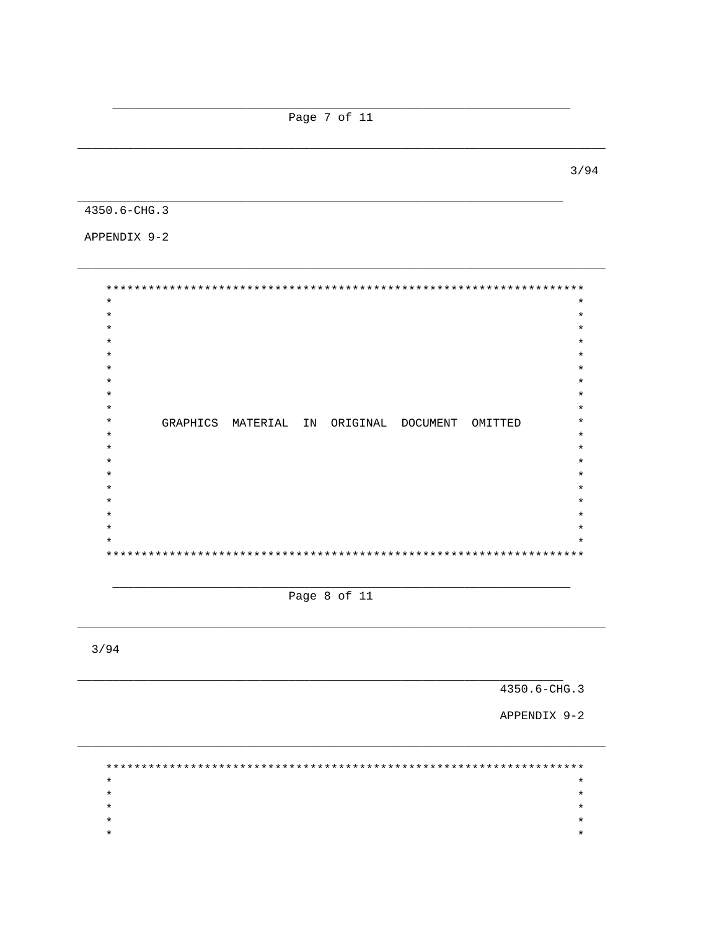Page 7 of 11

 $3/94$ 

4350.6-CHG.3

APPENDIX 9-2

 $\star$  $\star$  $\star$  $\star$  $\star$  $\star$  $\ddot{\textbf{r}}$  $\star$  $\star$  $\ast$  $\ast$  $\star$  $\star$ GRAPHICS MATERIAL IN ORIGINAL DOCUMENT OMITTED  $\star$  $\star$  $\star$  $\star$  $\star$  $\star$  $\star$ 

Page 8 of 11

 $3/94$ 

4350.6-CHG.3

APPENDIX 9-2

 $\star$  $\star$  $\star$  $\star$  $\star$  $\star$  $\star$  $\star$  $\star$  $\star$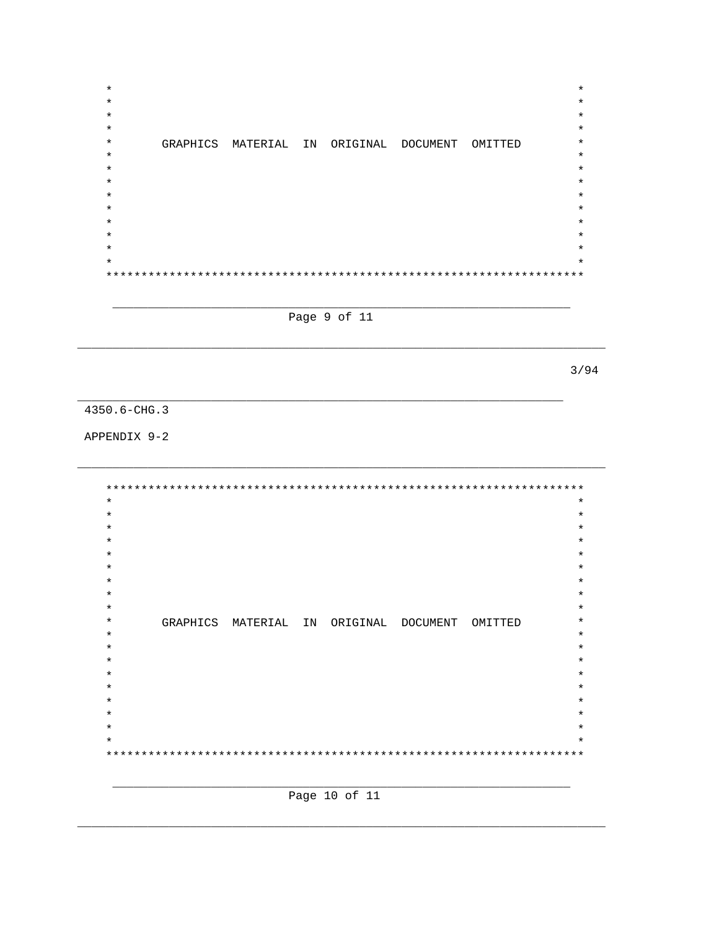$\star$  $\star$  $\star$  $\star$  $\star$  $\star$  $\ast$ GRAPHICS MATERIAL IN ORIGINAL DOCUMENT OMITTED  $\star$  $\star$  $\star$  $\star$  $\star$  $\star$  $\star$  $\star$ 

Page 9 of 11

 $3/94$ 

4350.6-CHG.3

APPENDIX 9-2

 $\star$  $\star$  $\star$  $\star$  $\star$  $\star$  $\star$  $\star$  $\star$  $\star$  $\star$ GRAPHICS MATERIAL IN ORIGINAL DOCUMENT OMITTED  $\ast$  $\star$  $\star$  $\star$  $\star$  $\star$ 

Page 10 of 11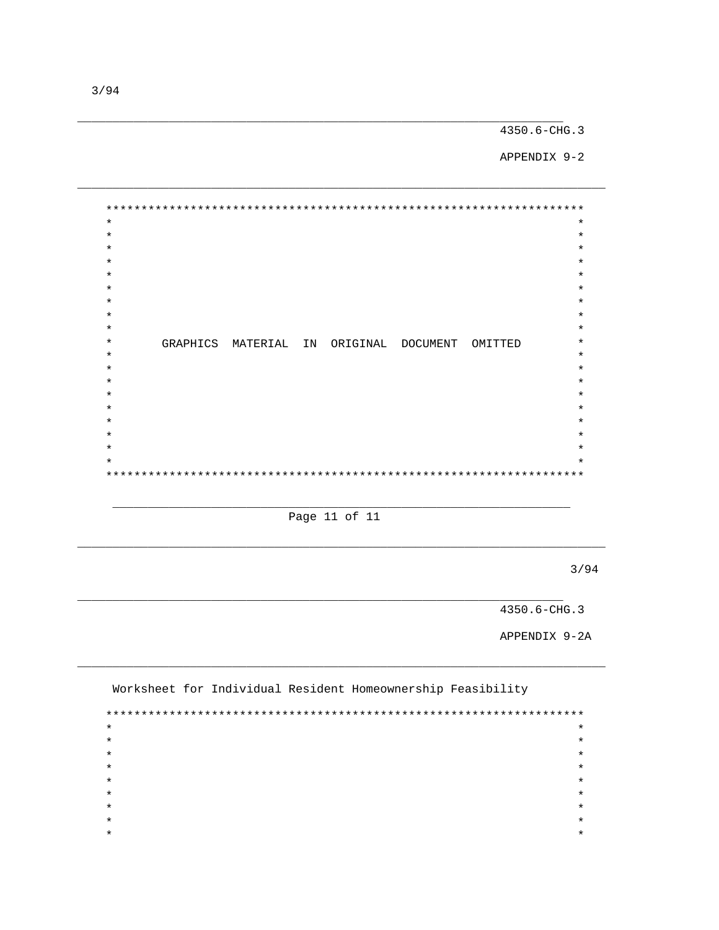APPENDIX 9-2

 $\star$  $\star$  $\star$  $\star$  $\star$  $\star$  $\star$  $\star$  $\star$  $\star$  $\star$  $\star$  $\star$  $\star$ GRAPHICS MATERIAL IN ORIGINAL DOCUMENT OMITTED  $\star$  $\star$  $\star$  $\ast$  $\star$  $\star$  $\star$  $\star$  $***$ 

Page 11 of 11

 $3/94$ 

 $4350.6 - CHG.3$ 

APPENDIX 9-2A

Worksheet for Individual Resident Homeownership Feasibility  $\ddot{\phantom{0}}$  $\ddot{\phantom{1}}$  $\star$  $\star$  $\star$  $\star$  $\star$  $\star$  $\star$  $\star$  $\star$  $\star$  $\star$  $\star$  $\star$  $\star$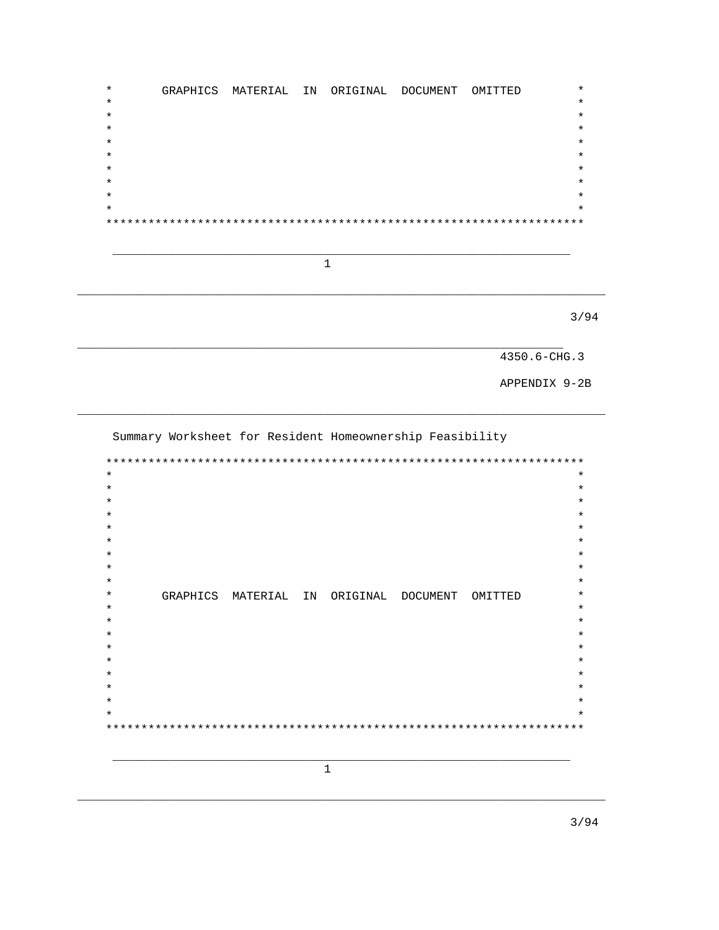$\star$ GRAPHICS MATERIAL IN ORIGINAL DOCUMENT OMITTED  $\star$  $\star$  $\star$  $\star$  $\star$  $\ast$  $\star$  $\star$  $\star$ 

 $\mathbf{1}$ 

 $3/94$ 

4350.6-CHG.3

APPENDIX 9-2B

Summary Worksheet for Resident Homeownership Feasibility

 $\star$  $\star$  $\star$  $\star$  $\star$  $\star$  $\star$  $\star$  $\star$  $\star$  $\star$  $\star$  $\star$ GRAPHICS MATERIAL IN ORIGINAL DOCUMENT OMITTED  $\star$  $\star$  $\star$  $\ast$  $\star$  $\star$  $\star$ 

 $\mathbf{1}$ 

 $3/94$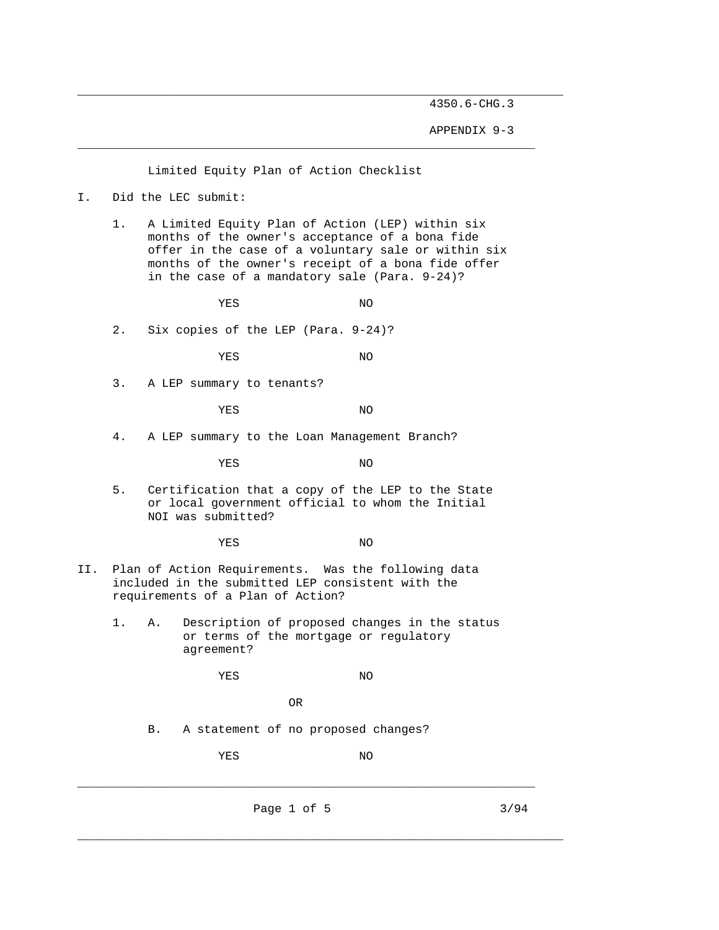APPENDIX 9-3

Limited Equity Plan of Action Checklist

I. Did the LEC submit:

 1. A Limited Equity Plan of Action (LEP) within six months of the owner's acceptance of a bona fide offer in the case of a voluntary sale or within six months of the owner's receipt of a bona fide offer in the case of a mandatory sale (Para. 9-24)?

\_\_\_\_\_\_\_\_\_\_\_\_\_\_\_\_\_\_\_\_\_\_\_\_\_\_\_\_\_\_\_\_\_\_\_\_\_\_\_\_\_\_\_\_\_\_\_\_\_\_\_\_\_\_\_\_\_\_\_\_\_\_\_\_\_

\_\_\_\_\_\_\_\_\_\_\_\_\_\_\_\_\_\_\_\_\_\_\_\_\_\_\_\_\_\_\_\_\_\_\_\_\_\_\_\_\_\_\_\_\_\_\_\_\_\_\_\_\_\_\_\_\_\_\_\_\_\_\_\_\_\_\_\_\_

YES NO

2. Six copies of the LEP (Para. 9-24)?

YES NO

3. A LEP summary to tenants?

YES NO

4. A LEP summary to the Loan Management Branch?

YES NO

 5. Certification that a copy of the LEP to the State or local government official to whom the Initial NOI was submitted?

YES NO

- II. Plan of Action Requirements. Was the following data included in the submitted LEP consistent with the requirements of a Plan of Action?
	- 1. A. Description of proposed changes in the status or terms of the mortgage or regulatory agreement?

YES NO

```
 OR
```
B. A statement of no proposed changes?

YES NO

Page 1 of 5 3/94

\_\_\_\_\_\_\_\_\_\_\_\_\_\_\_\_\_\_\_\_\_\_\_\_\_\_\_\_\_\_\_\_\_\_\_\_\_\_\_\_\_\_\_\_\_\_\_\_\_\_\_\_\_\_\_\_\_\_\_\_\_\_\_\_\_

\_\_\_\_\_\_\_\_\_\_\_\_\_\_\_\_\_\_\_\_\_\_\_\_\_\_\_\_\_\_\_\_\_\_\_\_\_\_\_\_\_\_\_\_\_\_\_\_\_\_\_\_\_\_\_\_\_\_\_\_\_\_\_\_\_\_\_\_\_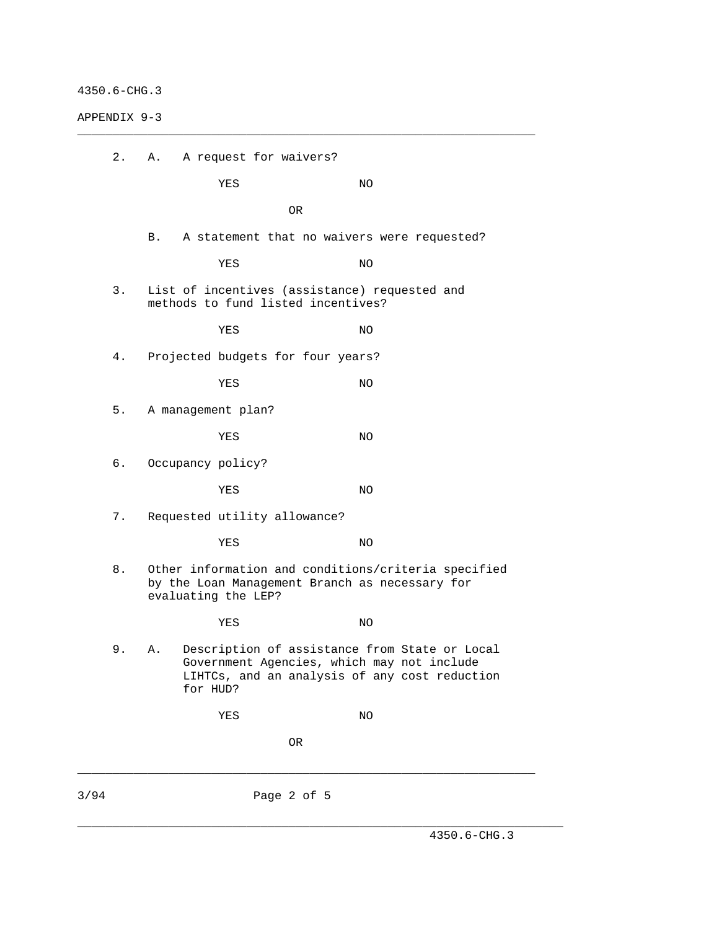APPENDIX 9-3

|      | 2. | Α. | A request for waivers?             |             |                                                                                                                                              |
|------|----|----|------------------------------------|-------------|----------------------------------------------------------------------------------------------------------------------------------------------|
|      |    |    | YES                                |             | ΝO                                                                                                                                           |
|      |    |    |                                    | OR          |                                                                                                                                              |
|      |    | B. |                                    |             | A statement that no waivers were requested?                                                                                                  |
|      |    |    | YES                                |             | ΝO                                                                                                                                           |
|      | 3. |    | methods to fund listed incentives? |             | List of incentives (assistance) requested and                                                                                                |
|      |    |    | YES                                |             | ΝO                                                                                                                                           |
|      | 4. |    | Projected budgets for four years?  |             |                                                                                                                                              |
|      |    |    | YES                                |             | ΝO                                                                                                                                           |
|      | 5. |    | A management plan?                 |             |                                                                                                                                              |
|      |    |    | YES                                |             | ΝO                                                                                                                                           |
|      | б. |    | Occupancy policy?                  |             |                                                                                                                                              |
|      |    |    | YES                                |             | NO.                                                                                                                                          |
|      | 7. |    | Requested utility allowance?       |             |                                                                                                                                              |
|      |    |    | YES                                |             | ΝO                                                                                                                                           |
|      | 8. |    | evaluating the LEP?                |             | Other information and conditions/criteria specified<br>by the Loan Management Branch as necessary for                                        |
|      |    |    | YES                                |             | ΝO                                                                                                                                           |
|      | 9. | Α. | for HUD?                           |             | Description of assistance from State or Local<br>Government Agencies, which may not include<br>LIHTCs, and an analysis of any cost reduction |
|      |    |    | YES                                |             | NO                                                                                                                                           |
|      |    |    |                                    | OR          |                                                                                                                                              |
|      |    |    |                                    |             |                                                                                                                                              |
| 3/94 |    |    |                                    | Page 2 of 5 |                                                                                                                                              |

\_\_\_\_\_\_\_\_\_\_\_\_\_\_\_\_\_\_\_\_\_\_\_\_\_\_\_\_\_\_\_\_\_\_\_\_\_\_\_\_\_\_\_\_\_\_\_\_\_\_\_\_\_\_\_\_\_\_\_\_\_\_\_\_\_

\_\_\_\_\_\_\_\_\_\_\_\_\_\_\_\_\_\_\_\_\_\_\_\_\_\_\_\_\_\_\_\_\_\_\_\_\_\_\_\_\_\_\_\_\_\_\_\_\_\_\_\_\_\_\_\_\_\_\_\_\_\_\_\_\_\_\_\_\_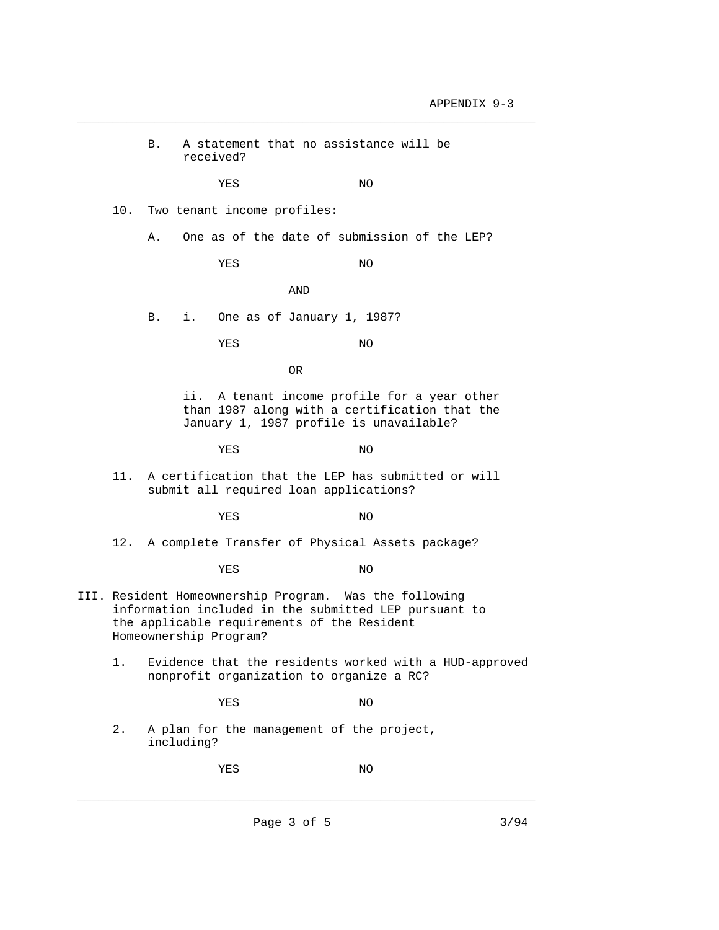B. A statement that no assistance will be received? YES NO 10. Two tenant income profiles: A. One as of the date of submission of the LEP? YES NO AND B. i. One as of January 1, 1987? YES NO OR ii. A tenant income profile for a year other than 1987 along with a certification that the January 1, 1987 profile is unavailable? YES NO 11. A certification that the LEP has submitted or will submit all required loan applications? YES NO 12. A complete Transfer of Physical Assets package? YES NO III. Resident Homeownership Program. Was the following information included in the submitted LEP pursuant to the applicable requirements of the Resident Homeownership Program? 1. Evidence that the residents worked with a HUD-approved nonprofit organization to organize a RC? YES NO 2. A plan for the management of the project, including? YES NO \_\_\_\_\_\_\_\_\_\_\_\_\_\_\_\_\_\_\_\_\_\_\_\_\_\_\_\_\_\_\_\_\_\_\_\_\_\_\_\_\_\_\_\_\_\_\_\_\_\_\_\_\_\_\_\_\_\_\_\_\_\_\_\_\_

\_\_\_\_\_\_\_\_\_\_\_\_\_\_\_\_\_\_\_\_\_\_\_\_\_\_\_\_\_\_\_\_\_\_\_\_\_\_\_\_\_\_\_\_\_\_\_\_\_\_\_\_\_\_\_\_\_\_\_\_\_\_\_\_\_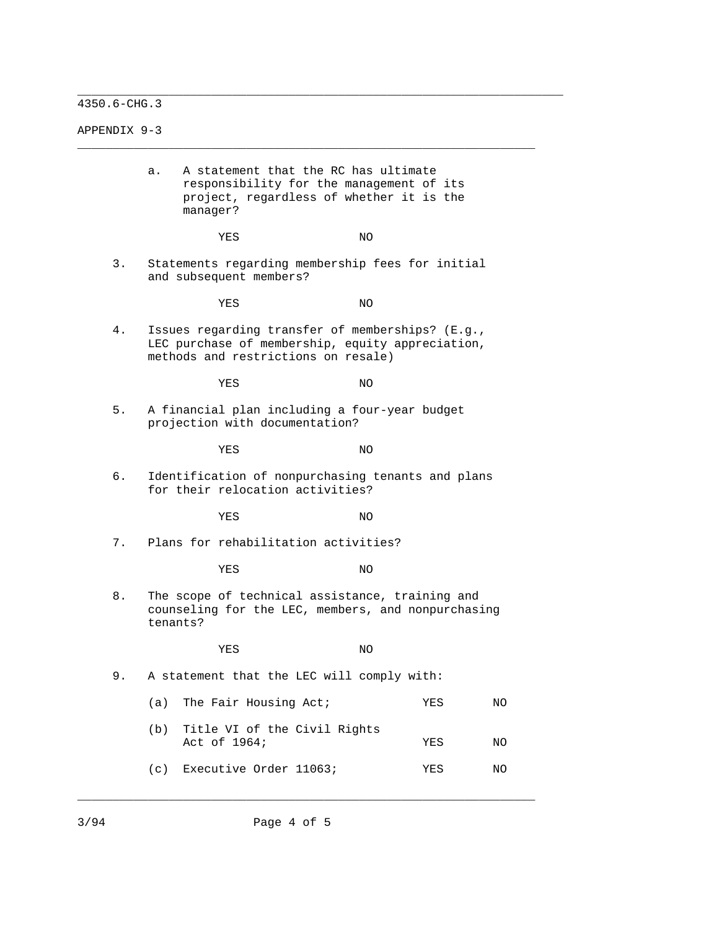APPENDIX 9-3

|    | а.<br>manager? | A statement that the RC has ultimate<br>responsibility for the management of its<br>project, regardless of whether it is the                |     |     |    |
|----|----------------|---------------------------------------------------------------------------------------------------------------------------------------------|-----|-----|----|
|    |                | YES                                                                                                                                         | NO. |     |    |
| 3. |                | Statements regarding membership fees for initial<br>and subsequent members?                                                                 |     |     |    |
|    |                | YES                                                                                                                                         | ΝO  |     |    |
| 4. |                | Issues regarding transfer of memberships? (E.g.,<br>LEC purchase of membership, equity appreciation,<br>methods and restrictions on resale) |     |     |    |
|    |                | YES                                                                                                                                         | ΝO  |     |    |
| 5. |                | A financial plan including a four-year budget<br>projection with documentation?                                                             |     |     |    |
|    |                | YES                                                                                                                                         | ΝO  |     |    |
| б. |                | Identification of nonpurchasing tenants and plans<br>for their relocation activities?                                                       |     |     |    |
|    |                | YES                                                                                                                                         | ΝO  |     |    |
| 7. |                | Plans for rehabilitation activities?                                                                                                        |     |     |    |
|    |                | YES                                                                                                                                         | ΝO  |     |    |
| 8. | tenants?       | The scope of technical assistance, training and<br>counseling for the LEC, members, and nonpurchasing                                       |     |     |    |
|    |                | YES                                                                                                                                         | ΝO  |     |    |
| 9. |                | A statement that the LEC will comply with:                                                                                                  |     |     |    |
|    | (a)            | The Fair Housing Act;                                                                                                                       |     | YES | ΝO |
|    | (b)            | Title VI of the Civil Rights<br>Act of 1964;                                                                                                |     | YES | ΝO |
|    | (c)            | Executive Order 11063;                                                                                                                      |     | YES | ΝO |

\_\_\_\_\_\_\_\_\_\_\_\_\_\_\_\_\_\_\_\_\_\_\_\_\_\_\_\_\_\_\_\_\_\_\_\_\_\_\_\_\_\_\_\_\_\_\_\_\_\_\_\_\_\_\_\_\_\_\_\_\_\_\_\_\_\_\_\_\_

\_\_\_\_\_\_\_\_\_\_\_\_\_\_\_\_\_\_\_\_\_\_\_\_\_\_\_\_\_\_\_\_\_\_\_\_\_\_\_\_\_\_\_\_\_\_\_\_\_\_\_\_\_\_\_\_\_\_\_\_\_\_\_\_\_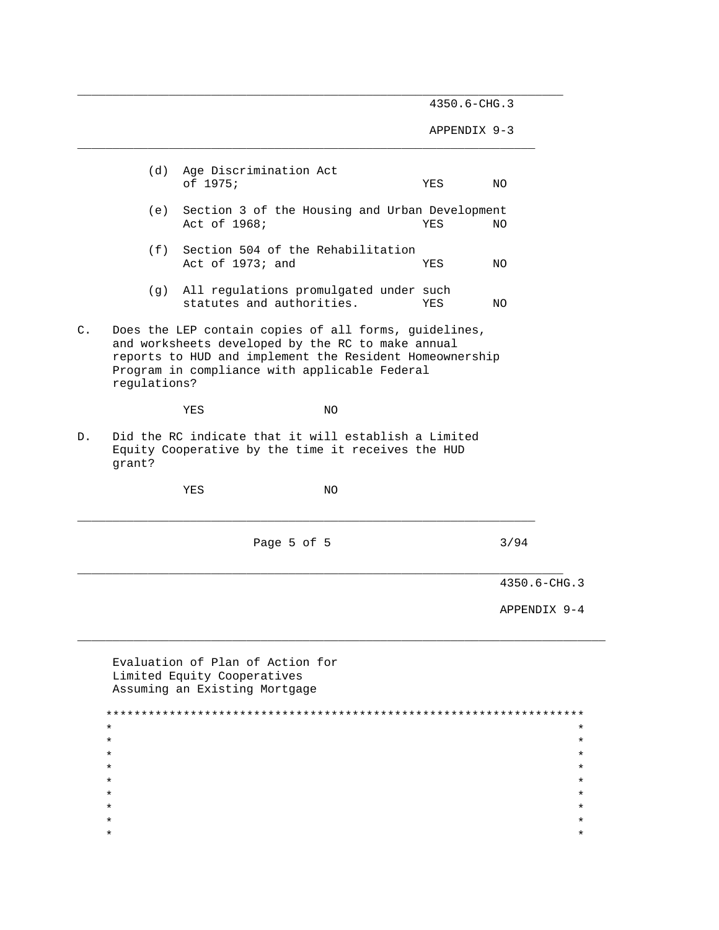APPENDIX 9-3

|    |              |                  |                                                                                                                                                                                                                        |     | 4350.6-CHG.3 |  |
|----|--------------|------------------|------------------------------------------------------------------------------------------------------------------------------------------------------------------------------------------------------------------------|-----|--------------|--|
|    |              |                  |                                                                                                                                                                                                                        |     |              |  |
|    |              |                  | Page 5 of 5                                                                                                                                                                                                            |     | 3/94         |  |
|    |              | YES              | ΝO                                                                                                                                                                                                                     |     |              |  |
| D. | grant?       |                  | Did the RC indicate that it will establish a Limited<br>Equity Cooperative by the time it receives the HUD                                                                                                             |     |              |  |
|    |              | YES              | NO                                                                                                                                                                                                                     |     |              |  |
| C. | regulations? |                  | Does the LEP contain copies of all forms, guidelines,<br>and worksheets developed by the RC to make annual<br>reports to HUD and implement the Resident Homeownership<br>Program in compliance with applicable Federal |     |              |  |
|    | (g)          |                  | All regulations promulgated under such<br>statutes and authorities.                                                                                                                                                    | YES | NO.          |  |
|    | (f)          | Act of 1973; and | Section 504 of the Rehabilitation                                                                                                                                                                                      | YES | NO.          |  |
|    | (e)          | Act of 1968;     | Section 3 of the Housing and Urban Development                                                                                                                                                                         | YES | NO.          |  |
|    | (d)          | of 1975;         | Age Discrimination Act                                                                                                                                                                                                 | YES | NO.          |  |

\_\_\_\_\_\_\_\_\_\_\_\_\_\_\_\_\_\_\_\_\_\_\_\_\_\_\_\_\_\_\_\_\_\_\_\_\_\_\_\_\_\_\_\_\_\_\_\_\_\_\_\_\_\_\_\_\_\_\_\_\_\_\_\_\_\_\_\_\_

| BVUIUUCION OI IIUN OI ACCION LOI |  |
|----------------------------------|--|
| Limited Equity Cooperatives      |  |
| Assuming an Existing Mortgage    |  |
|                                  |  |
|                                  |  |
| $\star$                          |  |
| $\star$                          |  |
| $\star$                          |  |
| $\star$                          |  |
| $\star$                          |  |
| $\star$                          |  |
| $\star$                          |  |
| $\star$                          |  |
| $\star$                          |  |
|                                  |  |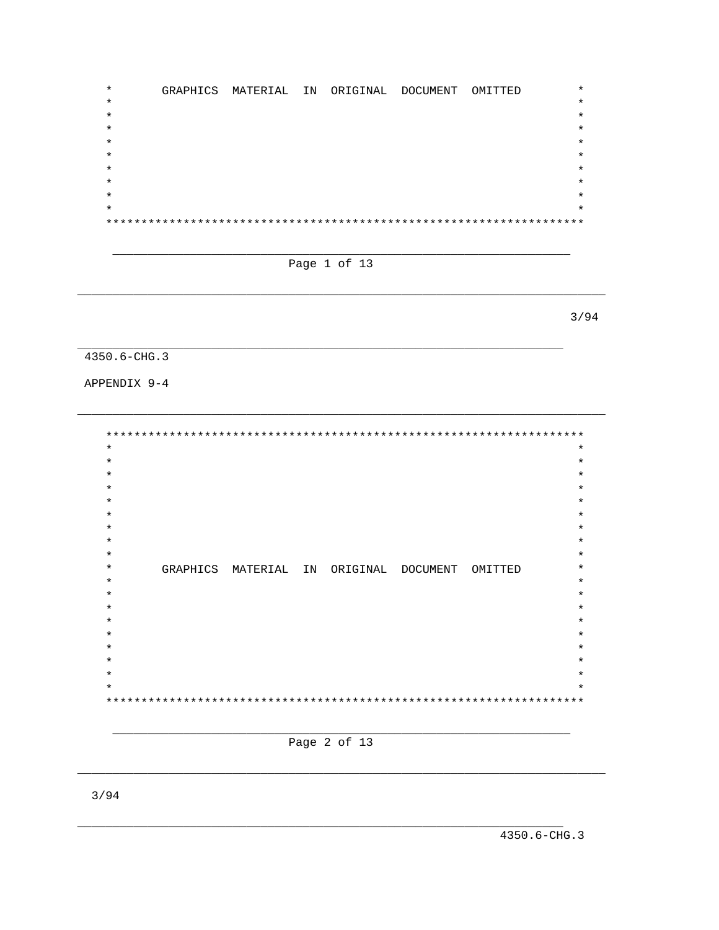$\star$ GRAPHICS MATERIAL IN ORIGINAL DOCUMENT OMITTED  $\star$  $\star$  $\star$  $\ast$  $\star$  $\ast$  $\star$  $\star$  $+ +$ 



 $3/94$ 

# $4350.6 - CHG.3$

APPENDIX 9-4

 $\star$  $\star$  $\star$  $\star$  $\star$  $\star$  $\star$  $\star$  $\star$ GRAPHICS MATERIAL IN ORIGINAL DOCUMENT OMITTED  $\star$  $\star$  $\star$  $\star$  $\star$ 

### Page 2 of 13

4350.6-CHG.3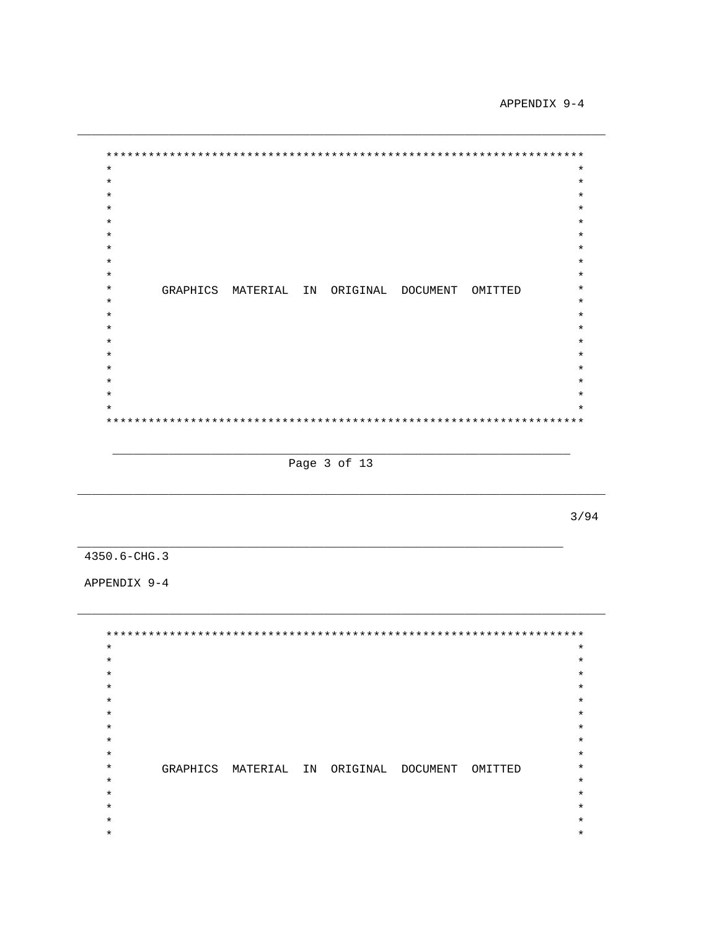APPENDIX 9-4

 $\star$  $\star$  $\star$  $\star$  $\star$  $\star$  $\star$  $\star$  $\star$  $\star$  $\star$  $\star$  $\star$  $\star$ GRAPHICS MATERIAL IN ORIGINAL DOCUMENT OMITTED  $\star$  $\star$  $\star$  $\star$  $\star$  $\star$  $\ddot{\textbf{r}}$  $\star$  $\star$ 

Page 3 of 13

 $3/94$ 

4350.6-CHG.3

APPENDIX 9-4

 $\star$  $\star$  $\star$  $\star$  $\star$  $\star$  $\star$  $\star$  $\star$  $\star$  $\star$  $\star$  $\star$  $\star$ GRAPHICS MATERIAL IN ORIGINAL DOCUMENT OMITTED  $\star$  $\star$  $\star$  $\star$  $\star$  $\star$  $\star$  $\star$  $\star$  $\star$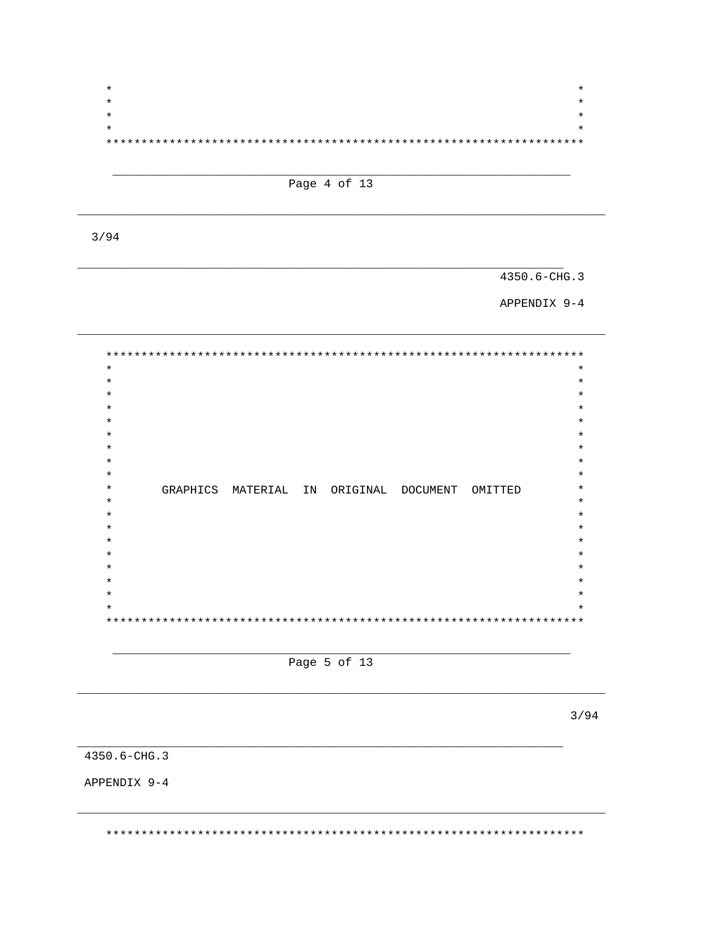

Page 4 of 13

 $3/94$ 

4350.6-CHG.3

APPENDIX 9-4

 $***$ \*\*\*\*  $\star$  $\star$  $\star$  $\ast$  $\ast$  $\star$  $\star$  $\star$  $\star$  $\star$  $\star$ GRAPHICS MATERIAL IN ORIGINAL DOCUMENT OMITTED  $\star$  $\star$  $\star$  $\star$  $\star$ 

Page 5 of 13

 $3/94$ 

4350.6-CHG.3

APPENDIX 9-4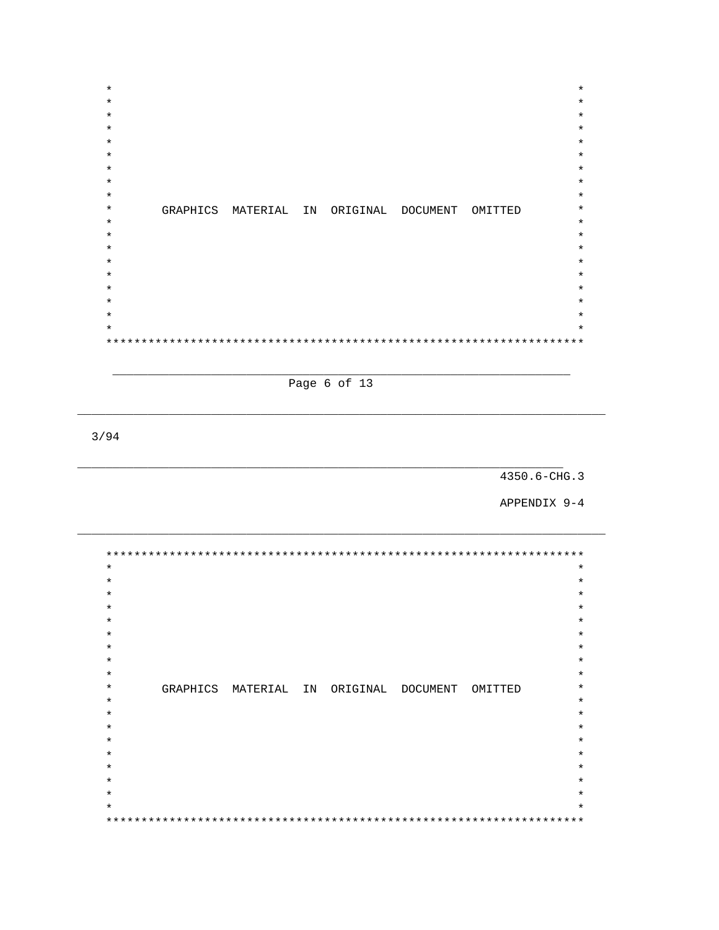$\star$  $\star$  $\star$  $\star$  $\star$  $\star$  $\star$  $\star$  $\star$  $\star$  $\star$  $\star$ GRAPHICS MATERIAL IN ORIGINAL DOCUMENT OMITTED  $\star$  $\star$  $\star$  $\star$  $\star$  $\star$  $\star$  $\star$ 

Page 6 of 13

 $3/94$ 

## 4350.6-CHG.3

APPENDIX 9-4

 $\star \star$  $\star$  $\star$  $\star$  $\star$  $\star$  $\star$  $\star$  $\star$  $\star$  $\star$ GRAPHICS MATERIAL IN ORIGINAL DOCUMENT OMITTED  $\star$  $\star$  $\star$  $\star$  $\star$  $\star$  $\star$  $\star$  $\star$  $* *$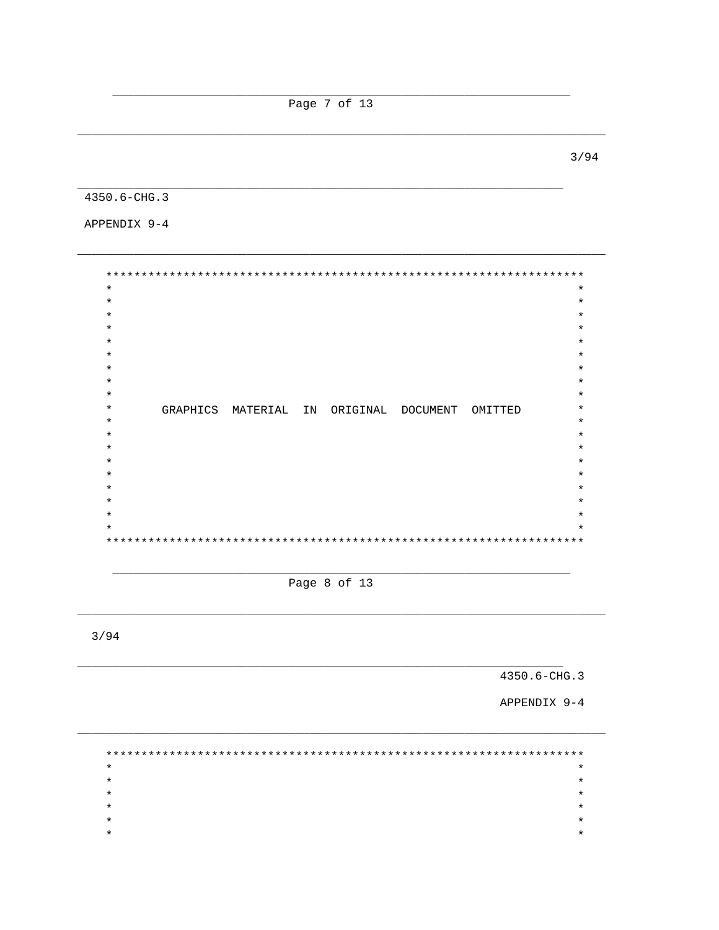Page 7 of 13

 $3/94$ 

4350.6-CHG.3

APPENDIX 9-4

\*\*\*\*\*\*\*  $\star$  $\star$  $\star$  $\star$  $\star$  $\star$  $\star$  $\star$  $\star$  $\star$  $\ast$  $\star$  $\star$ GRAPHICS MATERIAL IN ORIGINAL DOCUMENT OMITTED  $\star$  $\star$  $\star$  $\star$  $\star$  $\star$  $*$ 

Page 8 of 13

 $3/94$ 

4350.6-CHG.3

APPENDIX 9-4

 $\star$  $\star$  $\star$  $\star$  $\star$  $\star$  $\star$  $\star$  $\star$  $\star$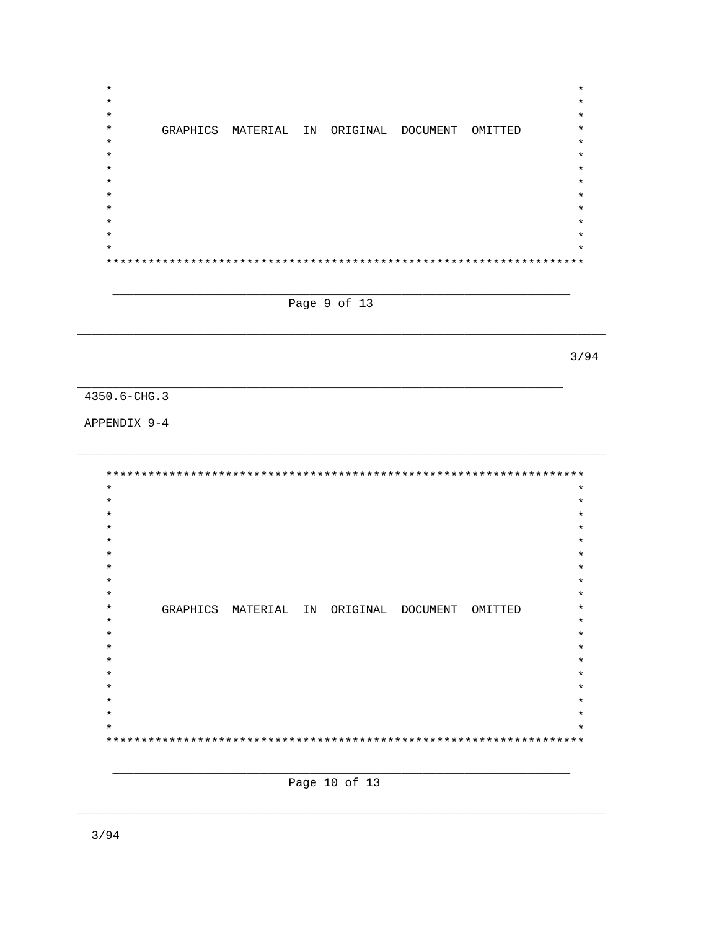$\star$  $\star$  $\star$  $\star$  $\star$  $\star$  $\star$ GRAPHICS MATERIAL IN ORIGINAL DOCUMENT OMITTED  $\star$  $\star$  $\star$  $\star$  $\star$  $\star$  $\star$  $\star$  $\star$  $\star$ 

Page 9 of 13

 $3/94$ 

4350.6-CHG.3

APPENDIX 9-4

 $\star$  $\star$  $\star$  $\star$  $\star$  $\star$  $\star$  $\star$  $\star$  $\star$  $\star$  $\star$  $\star$ GRAPHICS MATERIAL IN ORIGINAL DOCUMENT OMITTED  $\star$  $\star$  $\ast$  $\star$  $\star$  $\star$  $\star$  $\star$  $\star$  $\star$  $\ddot{\textbf{r}}$ 

Page 10 of 13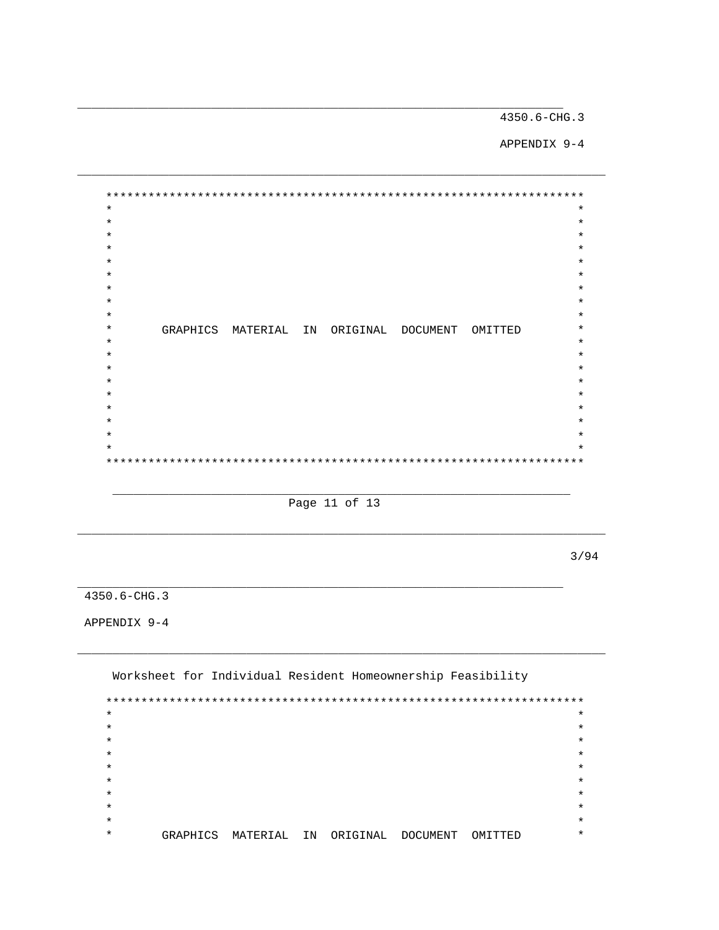APPENDIX 9-4

 $\star$  $\star$  $\star$  $\star$  $\star$  $\star$  $\star$  $\star$  $\star$  $\star$  $\star$  $\star$  $\star$ GRAPHICS MATERIAL IN ORIGINAL DOCUMENT OMITTED  $\star$  $\star$  $\star$  $\ddot{\textbf{r}}$  $\ast$  $\star$  $\ast$  $\star$  $\star$  $\star$  $\star$ 

Page 11 of 13

 $3/94$ 

4350.6-CHG.3

APPENDIX 9-4

Worksheet for Individual Resident Homeownership Feasibility  $\star$  $\star$  $\star$  $\star$  $\star$  $\star$  $\star$  $\star$  $\star$  $\star$  $\star$  $\star$  $\star$  $\star$  $\star$ GRAPHICS MATERIAL IN ORIGINAL DOCUMENT OMITTED  $\star$  $\star$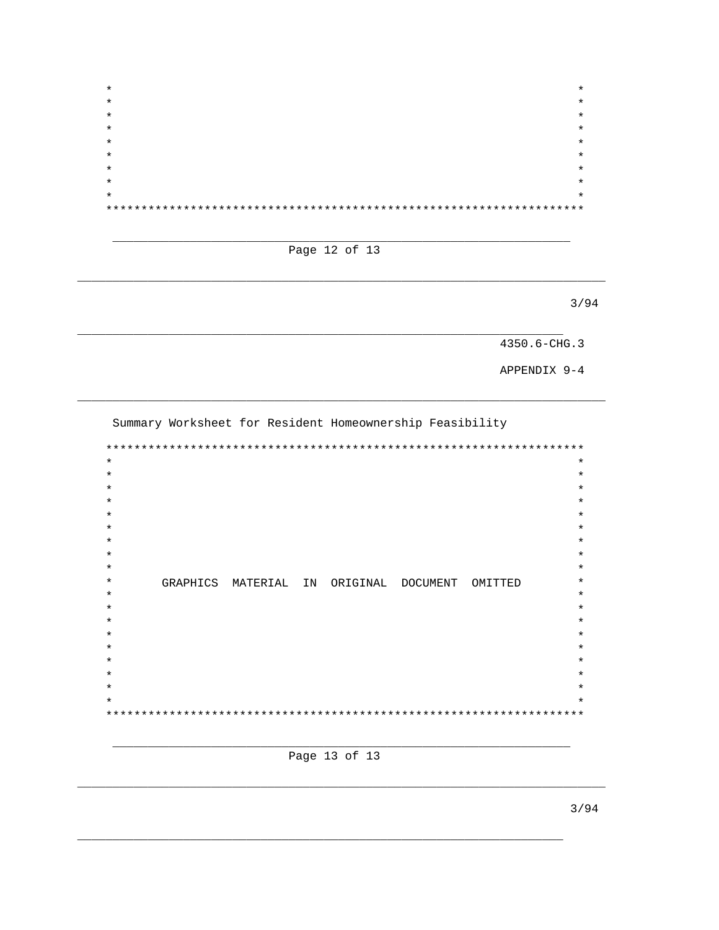| $\star$ | $\star$ |
|---------|---------|
| $\star$ | $\star$ |
| $\star$ | $\star$ |
| $\star$ | $\star$ |
| $\star$ | $\star$ |
| $\star$ | $\star$ |
| $\star$ | $\star$ |
| $\star$ | $\star$ |
| $\star$ | $\star$ |
|         |         |

Page 12 of 13

 $3/94$ 

4350.6-CHG.3

APPENDIX 9-4

Summary Worksheet for Resident Homeownership Feasibility

 $\star$  $\star$  $\star$  $\star$  $\star$  $\star$  $\star$  $\star$  $\star$  $\star$  $\star$ GRAPHICS MATERIAL IN ORIGINAL DOCUMENT OMITTED  $\star$  $\star$  $\star$  $\star$  $\ast$  $\star$  $\star$  $\star$  $\star$  $\star$  $\star$  $\star$ 

Page 13 of 13

 $3/94$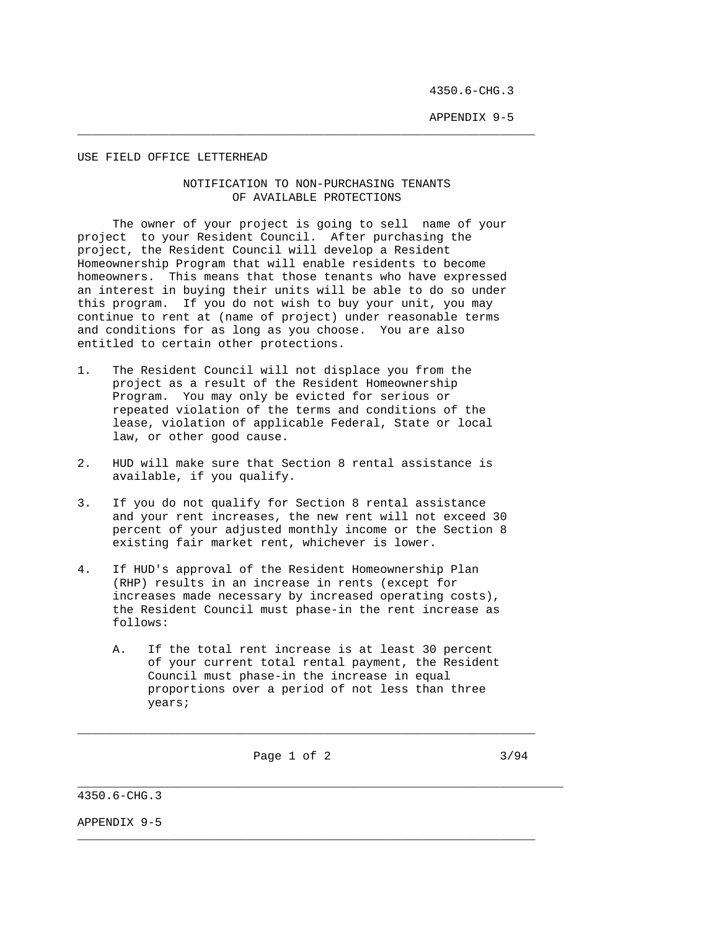APPENDIX 9-5

#### USE FIELD OFFICE LETTERHEAD

#### NOTIFICATION TO NON-PURCHASING TENANTS OF AVAILABLE PROTECTIONS

 $\_$  ,  $\_$  ,  $\_$  ,  $\_$  ,  $\_$  ,  $\_$  ,  $\_$  ,  $\_$  ,  $\_$  ,  $\_$  ,  $\_$  ,  $\_$  ,  $\_$  ,  $\_$  ,  $\_$  ,  $\_$  ,  $\_$  ,  $\_$  ,  $\_$  ,  $\_$  ,  $\_$  ,  $\_$  ,  $\_$  ,  $\_$  ,  $\_$  ,  $\_$  ,  $\_$  ,  $\_$  ,  $\_$  ,  $\_$  ,  $\_$  ,  $\_$  ,  $\_$  ,  $\_$  ,  $\_$  ,  $\_$  ,  $\_$  ,

 The owner of your project is going to sell name of your project to your Resident Council. After purchasing the project, the Resident Council will develop a Resident Homeownership Program that will enable residents to become homeowners. This means that those tenants who have expressed an interest in buying their units will be able to do so under this program. If you do not wish to buy your unit, you may continue to rent at (name of project) under reasonable terms and conditions for as long as you choose. You are also entitled to certain other protections.

- 1. The Resident Council will not displace you from the project as a result of the Resident Homeownership Program. You may only be evicted for serious or repeated violation of the terms and conditions of the lease, violation of applicable Federal, State or local law, or other good cause.
- 2. HUD will make sure that Section 8 rental assistance is available, if you qualify.
- 3. If you do not qualify for Section 8 rental assistance and your rent increases, the new rent will not exceed 30 percent of your adjusted monthly income or the Section 8 existing fair market rent, whichever is lower.
- 4. If HUD's approval of the Resident Homeownership Plan (RHP) results in an increase in rents (except for increases made necessary by increased operating costs), the Resident Council must phase-in the rent increase as follows:
	- A. If the total rent increase is at least 30 percent of your current total rental payment, the Resident Council must phase-in the increase in equal proportions over a period of not less than three years;

\_\_\_\_\_\_\_\_\_\_\_\_\_\_\_\_\_\_\_\_\_\_\_\_\_\_\_\_\_\_\_\_\_\_\_\_\_\_\_\_\_\_\_\_\_\_\_\_\_\_\_\_\_\_\_\_\_\_\_\_\_\_\_\_\_

 $\_$  ,  $\_$  ,  $\_$  ,  $\_$  ,  $\_$  ,  $\_$  ,  $\_$  ,  $\_$  ,  $\_$  ,  $\_$  ,  $\_$  ,  $\_$  ,  $\_$  ,  $\_$  ,  $\_$  ,  $\_$  ,  $\_$  ,  $\_$  ,  $\_$  ,  $\_$  ,  $\_$  ,  $\_$  ,  $\_$  ,  $\_$  ,  $\_$  ,  $\_$  ,  $\_$  ,  $\_$  ,  $\_$  ,  $\_$  ,  $\_$  ,  $\_$  ,  $\_$  ,  $\_$  ,  $\_$  ,  $\_$  ,  $\_$  ,

\_\_\_\_\_\_\_\_\_\_\_\_\_\_\_\_\_\_\_\_\_\_\_\_\_\_\_\_\_\_\_\_\_\_\_\_\_\_\_\_\_\_\_\_\_\_\_\_\_\_\_\_\_\_\_\_\_\_\_\_\_\_\_\_\_\_\_\_\_

Page 1 of 2 3/94

4350.6-CHG.3

APPENDIX 9-5